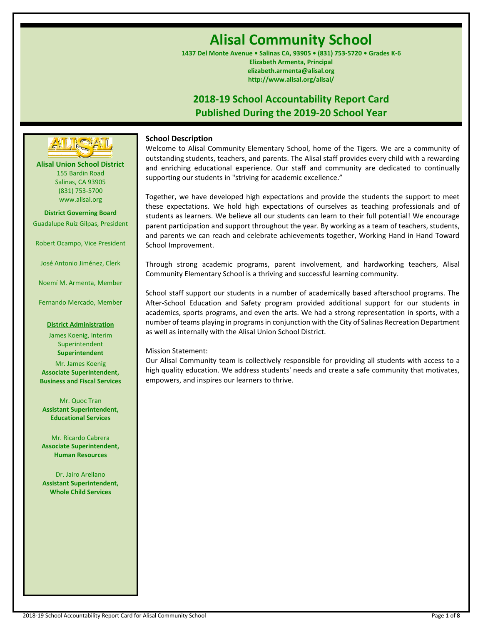# **Alisal Community School**

**1437 Del Monte Avenue • Salinas CA, 93905 • (831) 753-5720 • Grades K-6 Elizabeth Armenta, Principal elizabeth.armenta@alisal.org http://www.alisal.org/alisal/**

## **2018-19 School Accountability Report Card Published During the 2019-20 School Year**

## **School Description**

Welcome to Alisal Community Elementary School, home of the Tigers. We are a community of outstanding students, teachers, and parents. The Alisal staff provides every child with a rewarding and enriching educational experience. Our staff and community are dedicated to continually supporting our students in "striving for academic excellence."

Together, we have developed high expectations and provide the students the support to meet these expectations. We hold high expectations of ourselves as teaching professionals and of students as learners. We believe all our students can learn to their full potential! We encourage parent participation and support throughout the year. By working as a team of teachers, students, and parents we can reach and celebrate achievements together, Working Hand in Hand Toward School Improvement.

Through strong academic programs, parent involvement, and hardworking teachers, Alisal Community Elementary School is a thriving and successful learning community.

School staff support our students in a number of academically based afterschool programs. The After-School Education and Safety program provided additional support for our students in academics, sports programs, and even the arts. We had a strong representation in sports, with a number of teams playing in programs in conjunction with the City of Salinas Recreation Department as well as internally with the Alisal Union School District.

### Mission Statement:

Our Alisal Community team is collectively responsible for providing all students with access to a high quality education. We address students' needs and create a safe community that motivates, empowers, and inspires our learners to thrive.

**Alisal Union School District** 155 Bardin Road Salinas, CA 93905 (831) 753-5700 www.alisal.org

**---- ----**

**District Governing Board** Guadalupe Ruiz Gilpas, President

Robert Ocampo, Vice President

José Antonio Jiménez, Clerk

Noemí M. Armenta, Member

Fernando Mercado, Member

#### **District Administration**

James Koenig, Interim Superintendent **Superintendent**

Mr. James Koenig **Associate Superintendent, Business and Fiscal Services**

Mr. Quoc Tran **Assistant Superintendent, Educational Services**

Mr. Ricardo Cabrera **Associate Superintendent, Human Resources**

Dr. Jairo Arellano **Assistant Superintendent, Whole Child Services**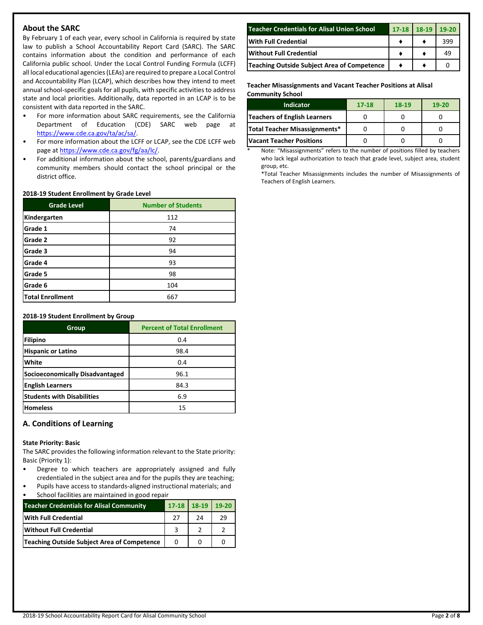## **About the SARC**

By February 1 of each year, every school in California is required by state law to publish a School Accountability Report Card (SARC). The SARC contains information about the condition and performance of each California public school. Under the Local Control Funding Formula (LCFF) all local educational agencies (LEAs) are required to prepare a Local Control and Accountability Plan (LCAP), which describes how they intend to meet annual school-specific goals for all pupils, with specific activities to address state and local priorities. Additionally, data reported in an LCAP is to be consistent with data reported in the SARC.

- For more information about SARC requirements, see the California Department of Education (CDE) SARC web page at [https://www.cde.ca.gov/ta/ac/sa/.](https://www.cde.ca.gov/ta/ac/sa/)
- For more information about the LCFF or LCAP, see the CDE LCFF web page at [https://www.cde.ca.gov/fg/aa/lc/.](https://www.cde.ca.gov/fg/aa/lc/)
- For additional information about the school, parents/guardians and community members should contact the school principal or the district office.

#### **2018-19 Student Enrollment by Grade Level**

| <b>Grade Level</b>      | <b>Number of Students</b> |  |  |  |
|-------------------------|---------------------------|--|--|--|
| Kindergarten            | 112                       |  |  |  |
| Grade 1                 | 74                        |  |  |  |
| Grade 2                 | 92                        |  |  |  |
| Grade 3                 | 94                        |  |  |  |
| Grade 4                 | 93                        |  |  |  |
| Grade 5                 | 98                        |  |  |  |
| Grade 6                 | 104                       |  |  |  |
| <b>Total Enrollment</b> | 667                       |  |  |  |

#### **2018-19 Student Enrollment by Group**

| Group                                  | <b>Percent of Total Enrollment</b> |
|----------------------------------------|------------------------------------|
| Filipino                               | 0.4                                |
| <b>Hispanic or Latino</b>              | 98.4                               |
| White                                  | 0.4                                |
| <b>Socioeconomically Disadvantaged</b> | 96.1                               |
| <b>English Learners</b>                | 84.3                               |
| <b>Students with Disabilities</b>      | 6.9                                |
| <b>Homeless</b>                        | 15                                 |

## **A. Conditions of Learning**

#### **State Priority: Basic**

The SARC provides the following information relevant to the State priority: Basic (Priority 1):

- Degree to which teachers are appropriately assigned and fully credentialed in the subject area and for the pupils they are teaching;
- Pupils have access to standards-aligned instructional materials; and School facilities are maintained in good repair

| <b>Teacher Credentials for Alisal Community</b> | 17-18 18-19 19-20 |    |
|-------------------------------------------------|-------------------|----|
| <b>With Full Credential</b>                     | 74                | 29 |
| <b>Without Full Credential</b>                  |                   |    |
| Teaching Outside Subject Area of Competence     |                   |    |

| <b>Teacher Credentials for Alisal Union School</b> | $17 - 18$ | $18-19$ | $19-20$ |
|----------------------------------------------------|-----------|---------|---------|
| <b>With Full Credential</b>                        |           |         | 399     |
| <b>Without Full Credential</b>                     |           |         | 49      |
| Teaching Outside Subject Area of Competence        |           |         |         |

#### **Teacher Misassignments and Vacant Teacher Positions at Alisal Community School**

| <b>Indicator</b>                | $17 - 18$ | $18-19$ | $19-20$ |
|---------------------------------|-----------|---------|---------|
| Teachers of English Learners    |           |         |         |
| Total Teacher Misassignments*   |           |         |         |
| <b>Vacant Teacher Positions</b> |           |         |         |

Note: "Misassignments" refers to the number of positions filled by teachers who lack legal authorization to teach that grade level, subject area, student group, etc.

\*Total Teacher Misassignments includes the number of Misassignments of Teachers of English Learners.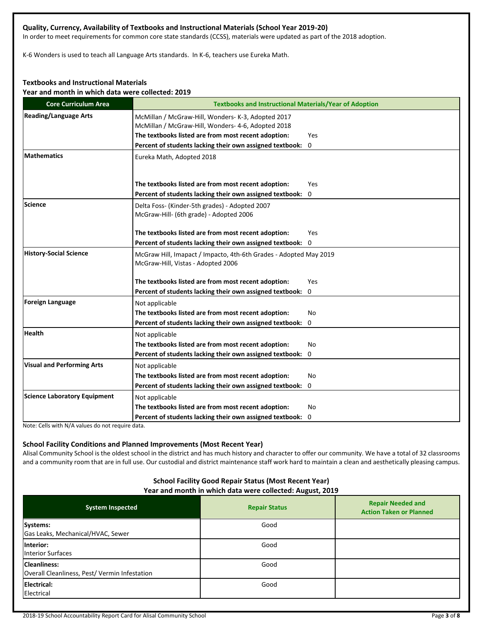## **Quality, Currency, Availability of Textbooks and Instructional Materials (School Year 2019-20)**

In order to meet requirements for common core state standards (CCSS), materials were updated as part of the 2018 adoption.

K-6 Wonders is used to teach all Language Arts standards. In K-6, teachers use Eureka Math.

## **Textbooks and Instructional Materials**

**Year and month in which data were collected: 2019**

| <b>Core Curriculum Area</b>         | <b>Textbooks and Instructional Materials/Year of Adoption</b>                                           |     |  |  |
|-------------------------------------|---------------------------------------------------------------------------------------------------------|-----|--|--|
| <b>Reading/Language Arts</b>        | McMillan / McGraw-Hill, Wonders- K-3, Adopted 2017                                                      |     |  |  |
|                                     | McMillan / McGraw-Hill, Wonders- 4-6, Adopted 2018                                                      |     |  |  |
|                                     | The textbooks listed are from most recent adoption:                                                     | Yes |  |  |
|                                     | Percent of students lacking their own assigned textbook: 0                                              |     |  |  |
| <b>Mathematics</b>                  | Eureka Math, Adopted 2018                                                                               |     |  |  |
|                                     |                                                                                                         |     |  |  |
|                                     | The textbooks listed are from most recent adoption:                                                     | Yes |  |  |
|                                     | Percent of students lacking their own assigned textbook: 0                                              |     |  |  |
| Science                             | Delta Foss- (Kinder-5th grades) - Adopted 2007<br>McGraw-Hill- (6th grade) - Adopted 2006               |     |  |  |
|                                     | The textbooks listed are from most recent adoption:                                                     | Yes |  |  |
|                                     | Percent of students lacking their own assigned textbook: 0                                              |     |  |  |
| <b>History-Social Science</b>       | McGraw Hill, Imapact / Impacto, 4th-6th Grades - Adopted May 2019<br>McGraw-Hill, Vistas - Adopted 2006 |     |  |  |
|                                     | The textbooks listed are from most recent adoption:                                                     | Yes |  |  |
|                                     | Percent of students lacking their own assigned textbook: 0                                              |     |  |  |
| <b>Foreign Language</b>             | Not applicable                                                                                          |     |  |  |
|                                     | The textbooks listed are from most recent adoption:                                                     | No  |  |  |
|                                     | Percent of students lacking their own assigned textbook: 0                                              |     |  |  |
| <b>Health</b>                       | Not applicable                                                                                          |     |  |  |
|                                     | The textbooks listed are from most recent adoption:                                                     | No. |  |  |
|                                     | Percent of students lacking their own assigned textbook: 0                                              |     |  |  |
| <b>Visual and Performing Arts</b>   | Not applicable                                                                                          |     |  |  |
|                                     | The textbooks listed are from most recent adoption:                                                     | No  |  |  |
|                                     | Percent of students lacking their own assigned textbook:                                                | 0   |  |  |
| <b>Science Laboratory Equipment</b> | Not applicable                                                                                          |     |  |  |
|                                     | The textbooks listed are from most recent adoption:                                                     | No  |  |  |
|                                     | Percent of students lacking their own assigned textbook: 0                                              |     |  |  |

Note: Cells with N/A values do not require data.

## **School Facility Conditions and Planned Improvements (Most Recent Year)**

Alisal Community School is the oldest school in the district and has much history and character to offer our community. We have a total of 32 classrooms and a community room that are in full use. Our custodial and district maintenance staff work hard to maintain a clean and aesthetically pleasing campus.

#### **School Facility Good Repair Status (Most Recent Year) Year and month in which data were collected: August, 2019**

| <b>System Inspected</b>                                              | <b>Repair Status</b> | <b>Repair Needed and</b><br><b>Action Taken or Planned</b> |
|----------------------------------------------------------------------|----------------------|------------------------------------------------------------|
| Systems:<br>Gas Leaks, Mechanical/HVAC, Sewer                        | Good                 |                                                            |
| Interior:<br><b>Interior Surfaces</b>                                | Good                 |                                                            |
| <b>Cleanliness:</b><br>Overall Cleanliness, Pest/ Vermin Infestation | Good                 |                                                            |
| <b>Electrical:</b><br>Electrical                                     | Good                 |                                                            |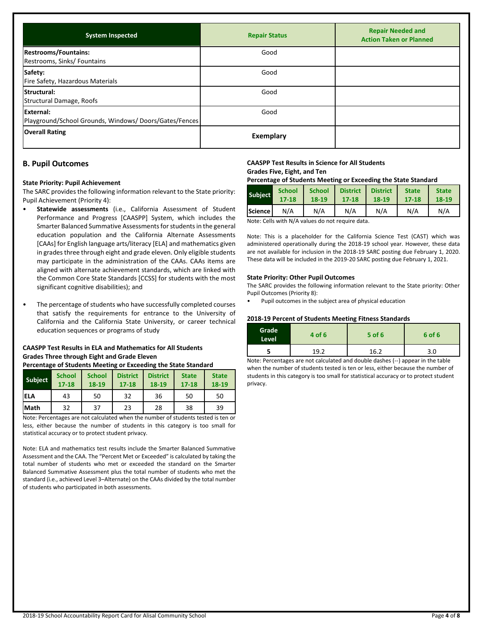| <b>System Inspected</b>                                             | <b>Repair Status</b> | <b>Repair Needed and</b><br><b>Action Taken or Planned</b> |
|---------------------------------------------------------------------|----------------------|------------------------------------------------------------|
| <b>Restrooms/Fountains:</b><br>Restrooms, Sinks/ Fountains          | Good                 |                                                            |
| Safety:<br>Fire Safety, Hazardous Materials                         | Good                 |                                                            |
| Structural:<br>Structural Damage, Roofs                             | Good                 |                                                            |
| External:<br>Playground/School Grounds, Windows/ Doors/Gates/Fences | Good                 |                                                            |
| <b>Overall Rating</b>                                               | <b>Exemplary</b>     |                                                            |

## **B. Pupil Outcomes**

#### **State Priority: Pupil Achievement**

The SARC provides the following information relevant to the State priority: Pupil Achievement (Priority 4):

- **Statewide assessments** (i.e., California Assessment of Student Performance and Progress [CAASPP] System, which includes the Smarter Balanced Summative Assessments for students in the general education population and the California Alternate Assessments [CAAs] for English language arts/literacy [ELA] and mathematics given in grades three through eight and grade eleven. Only eligible students may participate in the administration of the CAAs. CAAs items are aligned with alternate achievement standards, which are linked with the Common Core State Standards [CCSS] for students with the most significant cognitive disabilities); and
- The percentage of students who have successfully completed courses that satisfy the requirements for entrance to the University of California and the California State University, or career technical education sequences or programs of study

## **CAASPP Test Results in ELA and Mathematics for All Students Grades Three through Eight and Grade Eleven**

**Percentage of Students Meeting or Exceeding the State Standard**

| <b>Subject</b> | <b>School</b><br>$17 - 18$ | <b>School</b><br>18-19 | <b>District</b><br>$17 - 18$ | <b>District</b><br>18-19 | <b>State</b><br>$17 - 18$ | <b>State</b><br>18-19 |
|----------------|----------------------------|------------------------|------------------------------|--------------------------|---------------------------|-----------------------|
| <b>ELA</b>     | 43                         | 50                     | 32                           | 36                       | 50                        | 50                    |
| Math           | 32                         | 37                     | 23                           | 28                       | 38                        | 39                    |

Note: Percentages are not calculated when the number of students tested is ten or less, either because the number of students in this category is too small for statistical accuracy or to protect student privacy.

Note: ELA and mathematics test results include the Smarter Balanced Summative Assessment and the CAA. The "Percent Met or Exceeded" is calculated by taking the total number of students who met or exceeded the standard on the Smarter Balanced Summative Assessment plus the total number of students who met the standard (i.e., achieved Level 3–Alternate) on the CAAs divided by the total number of students who participated in both assessments.

## **CAASPP Test Results in Science for All Students**

**Grades Five, Eight, and Ten**

| <b>Subject</b> | <b>School</b> | <b>School</b> | <b>District</b> | <b>District</b> | <b>State</b> | <b>State</b> |
|----------------|---------------|---------------|-----------------|-----------------|--------------|--------------|
|                | $17 - 18$     | $18 - 19$     | $17 - 18$       | 18-19           | 17-18        | 18-19        |
| <b>Science</b> | N/A           | N/A           | N/A             | N/A             | N/A          | N/A          |

Note: Cells with N/A values do not require data.

Note: This is a placeholder for the California Science Test (CAST) which was administered operationally during the 2018-19 school year. However, these data are not available for inclusion in the 2018-19 SARC posting due February 1, 2020. These data will be included in the 2019-20 SARC posting due February 1, 2021.

#### **State Priority: Other Pupil Outcomes**

The SARC provides the following information relevant to the State priority: Other Pupil Outcomes (Priority 8):

• Pupil outcomes in the subject area of physical education

#### **2018-19 Percent of Students Meeting Fitness Standards**

| Grade <sup>1</sup><br>Level | 4 of 6 | $5$ of 6 | 6 of 6 |
|-----------------------------|--------|----------|--------|
|                             | 19.2   | 16.2     | 3.0    |

Note: Percentages are not calculated and double dashes (--) appear in the table when the number of students tested is ten or less, either because the number of students in this category is too small for statistical accuracy or to protect student privacy.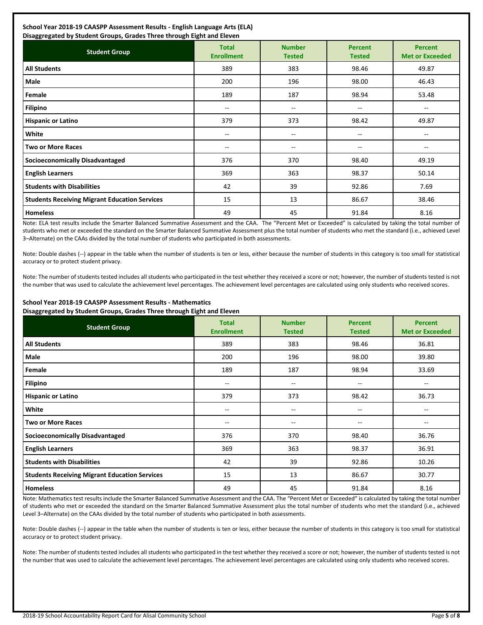## **School Year 2018-19 CAASPP Assessment Results - English Language Arts (ELA)**

| Disaggregated by Student Groups, Grades Three through Eight and Eleven |                                   |                                |                                 |                                          |  |
|------------------------------------------------------------------------|-----------------------------------|--------------------------------|---------------------------------|------------------------------------------|--|
| <b>Student Group</b>                                                   | <b>Total</b><br><b>Enrollment</b> | <b>Number</b><br><b>Tested</b> | <b>Percent</b><br><b>Tested</b> | <b>Percent</b><br><b>Met or Exceeded</b> |  |
| <b>All Students</b>                                                    | 389                               | 383                            | 98.46                           | 49.87                                    |  |
| Male                                                                   | 200                               | 196                            | 98.00                           | 46.43                                    |  |
| Female                                                                 | 189                               | 187                            | 98.94                           | 53.48                                    |  |
| <b>Filipino</b>                                                        | $\overline{\phantom{a}}$          | --                             | --                              | $\overline{\phantom{m}}$                 |  |
| <b>Hispanic or Latino</b>                                              | 379                               | 373                            | 98.42                           | 49.87                                    |  |
| White                                                                  | --                                | --                             | --                              | --                                       |  |
| <b>Two or More Races</b>                                               | $- -$                             | --                             | --                              | --                                       |  |
| <b>Socioeconomically Disadvantaged</b>                                 | 376                               | 370                            | 98.40                           | 49.19                                    |  |
| <b>English Learners</b>                                                | 369                               | 363                            | 98.37                           | 50.14                                    |  |
| <b>Students with Disabilities</b>                                      | 42                                | 39                             | 92.86                           | 7.69                                     |  |
| <b>Students Receiving Migrant Education Services</b>                   | 15                                | 13                             | 86.67                           | 38.46                                    |  |
| <b>Homeless</b>                                                        | 49                                | 45                             | 91.84                           | 8.16                                     |  |

Note: ELA test results include the Smarter Balanced Summative Assessment and the CAA. The "Percent Met or Exceeded" is calculated by taking the total number of students who met or exceeded the standard on the Smarter Balanced Summative Assessment plus the total number of students who met the standard (i.e., achieved Level 3–Alternate) on the CAAs divided by the total number of students who participated in both assessments.

Note: Double dashes (--) appear in the table when the number of students is ten or less, either because the number of students in this category is too small for statistical accuracy or to protect student privacy.

Note: The number of students tested includes all students who participated in the test whether they received a score or not; however, the number of students tested is not the number that was used to calculate the achievement level percentages. The achievement level percentages are calculated using only students who received scores.

#### **School Year 2018-19 CAASPP Assessment Results - Mathematics Disaggregated by Student Groups, Grades Three through Eight and Eleven**

| <b>Student Group</b>                                 | <b>Total</b><br><b>Enrollment</b> | <b>Number</b><br><b>Tested</b> | <b>Percent</b><br><b>Tested</b> | <b>Percent</b><br><b>Met or Exceeded</b> |
|------------------------------------------------------|-----------------------------------|--------------------------------|---------------------------------|------------------------------------------|
| <b>All Students</b>                                  | 389                               | 383                            | 98.46                           | 36.81                                    |
| Male                                                 | 200                               | 196                            | 98.00                           | 39.80                                    |
| Female                                               | 189                               | 187                            | 98.94                           | 33.69                                    |
| <b>Filipino</b>                                      | --                                | --                             | --                              | $\overline{\phantom{m}}$                 |
| <b>Hispanic or Latino</b>                            | 379                               | 373                            | 98.42                           | 36.73                                    |
| White                                                | --                                | --                             | $\overline{\phantom{a}}$        | $\hspace{0.05cm}$ – $\hspace{0.05cm}$    |
| <b>Two or More Races</b>                             | --                                | $\overline{\phantom{m}}$       | $\overline{\phantom{a}}$        | --                                       |
| <b>Socioeconomically Disadvantaged</b>               | 376                               | 370                            | 98.40                           | 36.76                                    |
| <b>English Learners</b>                              | 369                               | 363                            | 98.37                           | 36.91                                    |
| <b>Students with Disabilities</b>                    | 42                                | 39                             | 92.86                           | 10.26                                    |
| <b>Students Receiving Migrant Education Services</b> | 15                                | 13                             | 86.67                           | 30.77                                    |
| <b>Homeless</b>                                      | 49                                | 45                             | 91.84                           | 8.16                                     |

Note: Mathematics test results include the Smarter Balanced Summative Assessment and the CAA. The "Percent Met or Exceeded" is calculated by taking the total number of students who met or exceeded the standard on the Smarter Balanced Summative Assessment plus the total number of students who met the standard (i.e., achieved Level 3–Alternate) on the CAAs divided by the total number of students who participated in both assessments.

Note: Double dashes (--) appear in the table when the number of students is ten or less, either because the number of students in this category is too small for statistical accuracy or to protect student privacy.

Note: The number of students tested includes all students who participated in the test whether they received a score or not; however, the number of students tested is not the number that was used to calculate the achievement level percentages. The achievement level percentages are calculated using only students who received scores.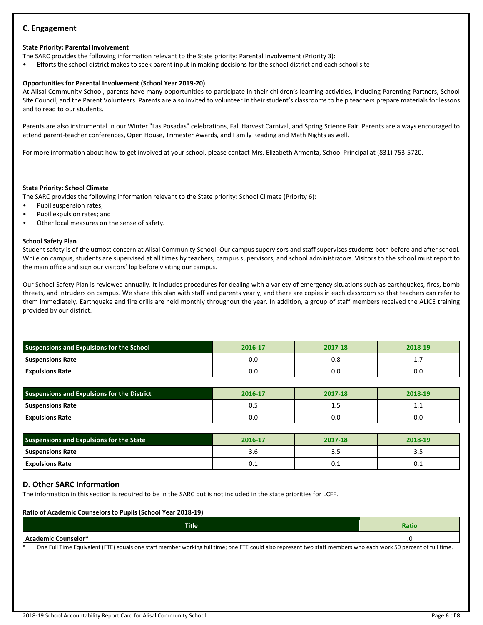## **C. Engagement**

## **State Priority: Parental Involvement**

The SARC provides the following information relevant to the State priority: Parental Involvement (Priority 3):

• Efforts the school district makes to seek parent input in making decisions for the school district and each school site

## **Opportunities for Parental Involvement (School Year 2019-20)**

At Alisal Community School, parents have many opportunities to participate in their children's learning activities, including Parenting Partners, School Site Council, and the Parent Volunteers. Parents are also invited to volunteer in their student's classrooms to help teachers prepare materials for lessons and to read to our students.

Parents are also instrumental in our Winter "Las Posadas" celebrations, Fall Harvest Carnival, and Spring Science Fair. Parents are always encouraged to attend parent-teacher conferences, Open House, Trimester Awards, and Family Reading and Math Nights as well.

For more information about how to get involved at your school, please contact Mrs. Elizabeth Armenta, School Principal at (831) 753-5720.

## **State Priority: School Climate**

The SARC provides the following information relevant to the State priority: School Climate (Priority 6):

- Pupil suspension rates;
- Pupil expulsion rates; and
- Other local measures on the sense of safety.

## **School Safety Plan**

Student safety is of the utmost concern at Alisal Community School. Our campus supervisors and staff supervises students both before and after school. While on campus, students are supervised at all times by teachers, campus supervisors, and school administrators. Visitors to the school must report to the main office and sign our visitors' log before visiting our campus.

Our School Safety Plan is reviewed annually. It includes procedures for dealing with a variety of emergency situations such as earthquakes, fires, bomb threats, and intruders on campus. We share this plan with staff and parents yearly, and there are copies in each classroom so that teachers can refer to them immediately. Earthquake and fire drills are held monthly throughout the year. In addition, a group of staff members received the ALICE training provided by our district.

| <b>Suspensions and Expulsions for the School</b> | 2016-17 | 2017-18 | 2018-19  |
|--------------------------------------------------|---------|---------|----------|
| <b>Suspensions Rate</b>                          | 0.0     | ს.8     | <b>.</b> |
| <b>Expulsions Rate</b>                           | 0.C     | 0.0     | 0.0      |

| <b>Suspensions and Expulsions for the District</b> | 2016-17 | 2017-18 | 2018-19 |
|----------------------------------------------------|---------|---------|---------|
| <b>Suspensions Rate</b>                            | U.J     | --      | .       |
| <b>Expulsions Rate</b>                             | 0.C     | 0.0     | 0.0     |

| Suspensions and Expulsions for the State | 2016-17 | 2017-18 | 2018-19 |
|------------------------------------------|---------|---------|---------|
| <b>Suspensions Rate</b>                  |         | 3.3     | --      |
| <b>Expulsions Rate</b>                   | U. 1    | U.I     | ∪.⊥     |

## **D. Other SARC Information**

The information in this section is required to be in the SARC but is not included in the state priorities for LCFF.

| <b>Ratio of Academic Counselors to Pupils (School Year 2018-19)</b>                                                                                                  |       |  |  |
|----------------------------------------------------------------------------------------------------------------------------------------------------------------------|-------|--|--|
| <b>Title</b>                                                                                                                                                         | Ratio |  |  |
| Academic Counselor*                                                                                                                                                  |       |  |  |
| One Full Time Equivalent (FTE) equals one staff member working full time; one FTE could also represent two staff members who each work 50 percent of full time.<br>* |       |  |  |

2018-19 School Accountability Report Card for Alisal Community School Page **6** of **8**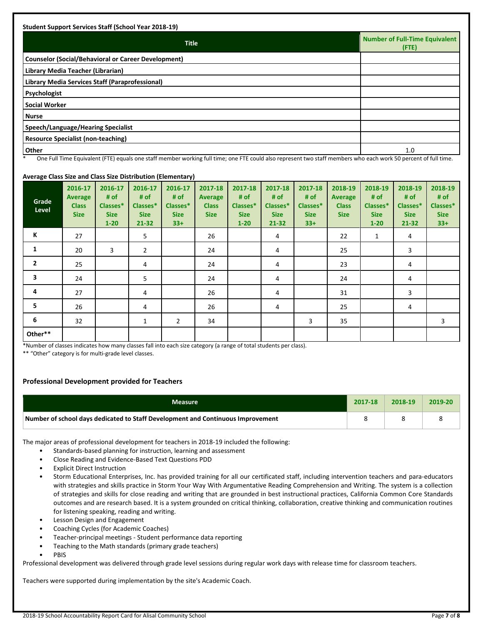| <b>Title</b>                                               | <b>Number of Full-Time Equivalent</b><br>(FTE) |
|------------------------------------------------------------|------------------------------------------------|
| <b>Counselor (Social/Behavioral or Career Development)</b> |                                                |
| Library Media Teacher (Librarian)                          |                                                |
| Library Media Services Staff (Paraprofessional)            |                                                |
| Psychologist                                               |                                                |
| <b>Social Worker</b>                                       |                                                |
| <b>Nurse</b>                                               |                                                |
| Speech/Language/Hearing Specialist                         |                                                |
| Resource Specialist (non-teaching)                         |                                                |
| Other                                                      | 1.0                                            |

One Full Time Equivalent (FTE) equals one staff member working full time; one FTE could also represent two staff members who each work 50 percent of full time. So

#### **Grade Level 2016-17 Average Class Size 2016-17 # of Classes\* Size 1-20 2016-17 # of Classes\* Size 21-32 2016-17 # of Classes\* Size 33+ 2017-18 Average Class Size 2017-18 # of Classes\* Size 1-20 2017-18 # of Classes\* Size 21-32 2017-18 # of Classes\* Size 33+ 2018-19 Average Class Size 2018-19 # of Classes\* Size 1-20 2018-19 # of Classes\* Size 21-32 2018-19 # of Classes\* Size 33+ K** 27 | 5 | 26 | 4 | 22 | 1 | 4 **1** 20 3 2 24 4 24 25 3 **2** 25 4 4 24 4 4 23 4 **3** 24 5 24 24 4 24 24 **4** 27 4 4 26 4 4 31 3 **5** 26 4 26 26 4 26 26 27 **6** 32 1 2 34 1 3 35 1  **Other\*\***

## **Average Class Size and Class Size Distribution (Elementary)**

\*Number of classes indicates how many classes fall into each size category (a range of total students per class).

\*\* "Other" category is for multi-grade level classes.

## **Professional Development provided for Teachers**

| <b>Measure</b>                                                                  | 2017-18 | 2018-19 | 2019-20 |
|---------------------------------------------------------------------------------|---------|---------|---------|
| Number of school days dedicated to Staff Development and Continuous Improvement |         |         |         |

The major areas of professional development for teachers in 2018-19 included the following:

- Standards-based planning for instruction, learning and assessment
- Close Reading and Evidence-Based Text Questions PDD
- **Explicit Direct Instruction**
- Storm Educational Enterprises, Inc. has provided training for all our certificated staff, including intervention teachers and para-educators with strategies and skills practice in Storm Your Way With Argumentative Reading Comprehension and Writing. The system is a collection of strategies and skills for close reading and writing that are grounded in best instructional practices, California Common Core Standards outcomes and are research based. It is a system grounded on critical thinking, collaboration, creative thinking and communication routines for listening speaking, reading and writing.
- Lesson Design and Engagement
- Coaching Cycles (for Academic Coaches)
- Teacher-principal meetings Student performance data reporting
- Teaching to the Math standards (primary grade teachers)
- **PBIS**

Professional development was delivered through grade level sessions during regular work days with release time for classroom teachers.

Teachers were supported during implementation by the site's Academic Coach.